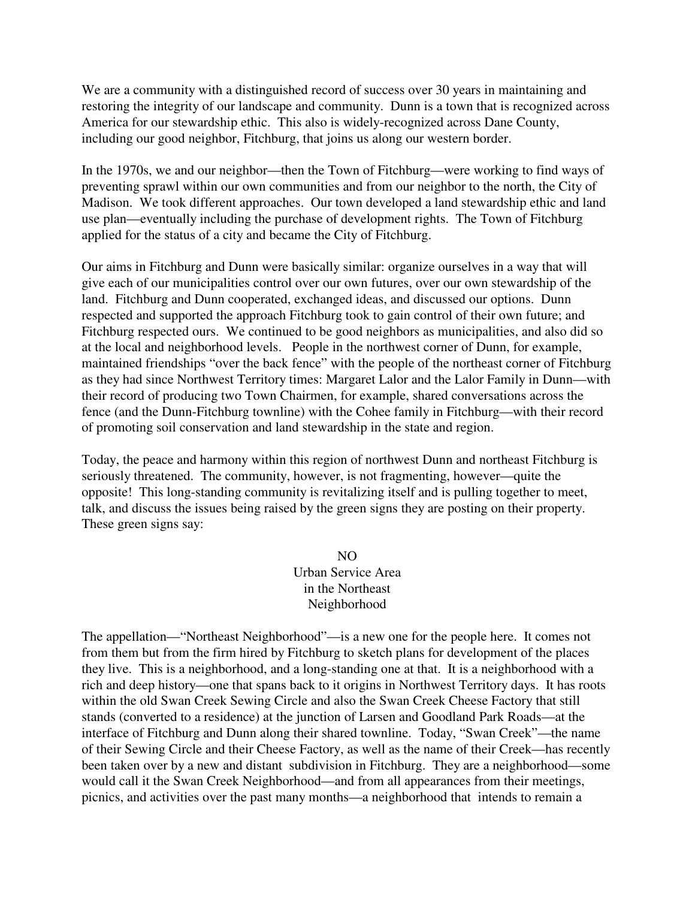We are a community with a distinguished record of success over 30 years in maintaining and restoring the integrity of our landscape and community. Dunn is a town that is recognized across America for our stewardship ethic. This also is widely-recognized across Dane County, including our good neighbor, Fitchburg, that joins us along our western border.

In the 1970s, we and our neighbor—then the Town of Fitchburg—were working to find ways of preventing sprawl within our own communities and from our neighbor to the north, the City of Madison. We took different approaches. Our town developed a land stewardship ethic and land use plan—eventually including the purchase of development rights. The Town of Fitchburg applied for the status of a city and became the City of Fitchburg.

Our aims in Fitchburg and Dunn were basically similar: organize ourselves in a way that will give each of our municipalities control over our own futures, over our own stewardship of the land. Fitchburg and Dunn cooperated, exchanged ideas, and discussed our options. Dunn respected and supported the approach Fitchburg took to gain control of their own future; and Fitchburg respected ours. We continued to be good neighbors as municipalities, and also did so at the local and neighborhood levels. People in the northwest corner of Dunn, for example, maintained friendships "over the back fence" with the people of the northeast corner of Fitchburg as they had since Northwest Territory times: Margaret Lalor and the Lalor Family in Dunn—with their record of producing two Town Chairmen, for example, shared conversations across the fence (and the Dunn-Fitchburg townline) with the Cohee family in Fitchburg—with their record of promoting soil conservation and land stewardship in the state and region.

Today, the peace and harmony within this region of northwest Dunn and northeast Fitchburg is seriously threatened. The community, however, is not fragmenting, however—quite the opposite! This long-standing community is revitalizing itself and is pulling together to meet, talk, and discuss the issues being raised by the green signs they are posting on their property. These green signs say:

> NO Urban Service Area in the Northeast Neighborhood

The appellation—"Northeast Neighborhood"—is a new one for the people here. It comes not from them but from the firm hired by Fitchburg to sketch plans for development of the places they live. This is a neighborhood, and a long-standing one at that. It is a neighborhood with a rich and deep history—one that spans back to it origins in Northwest Territory days. It has roots within the old Swan Creek Sewing Circle and also the Swan Creek Cheese Factory that still stands (converted to a residence) at the junction of Larsen and Goodland Park Roads—at the interface of Fitchburg and Dunn along their shared townline. Today, "Swan Creek"—the name of their Sewing Circle and their Cheese Factory, as well as the name of their Creek—has recently been taken over by a new and distant subdivision in Fitchburg. They are a neighborhood—some would call it the Swan Creek Neighborhood—and from all appearances from their meetings, picnics, and activities over the past many months—a neighborhood that intends to remain a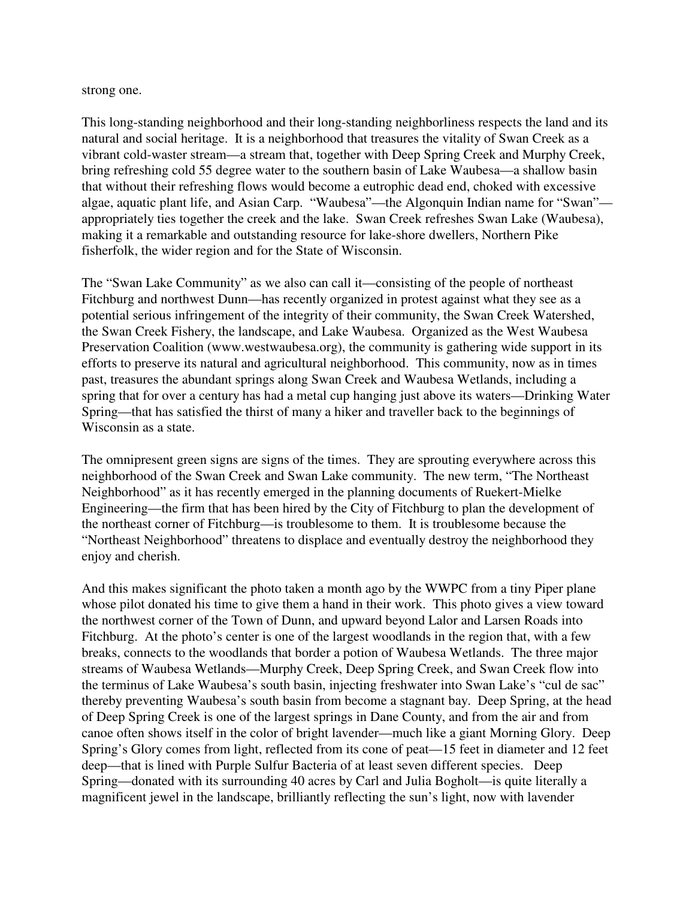strong one.

This long-standing neighborhood and their long-standing neighborliness respects the land and its natural and social heritage. It is a neighborhood that treasures the vitality of Swan Creek as a vibrant cold-waster stream—a stream that, together with Deep Spring Creek and Murphy Creek, bring refreshing cold 55 degree water to the southern basin of Lake Waubesa—a shallow basin that without their refreshing flows would become a eutrophic dead end, choked with excessive algae, aquatic plant life, and Asian Carp. "Waubesa"—the Algonquin Indian name for "Swan" appropriately ties together the creek and the lake. Swan Creek refreshes Swan Lake (Waubesa), making it a remarkable and outstanding resource for lake-shore dwellers, Northern Pike fisherfolk, the wider region and for the State of Wisconsin.

The "Swan Lake Community" as we also can call it—consisting of the people of northeast Fitchburg and northwest Dunn—has recently organized in protest against what they see as a potential serious infringement of the integrity of their community, the Swan Creek Watershed, the Swan Creek Fishery, the landscape, and Lake Waubesa. Organized as the West Waubesa Preservation Coalition (www.westwaubesa.org), the community is gathering wide support in its efforts to preserve its natural and agricultural neighborhood. This community, now as in times past, treasures the abundant springs along Swan Creek and Waubesa Wetlands, including a spring that for over a century has had a metal cup hanging just above its waters—Drinking Water Spring—that has satisfied the thirst of many a hiker and traveller back to the beginnings of Wisconsin as a state.

The omnipresent green signs are signs of the times. They are sprouting everywhere across this neighborhood of the Swan Creek and Swan Lake community. The new term, "The Northeast Neighborhood" as it has recently emerged in the planning documents of Ruekert-Mielke Engineering—the firm that has been hired by the City of Fitchburg to plan the development of the northeast corner of Fitchburg—is troublesome to them. It is troublesome because the "Northeast Neighborhood" threatens to displace and eventually destroy the neighborhood they enjoy and cherish.

And this makes significant the photo taken a month ago by the WWPC from a tiny Piper plane whose pilot donated his time to give them a hand in their work. This photo gives a view toward the northwest corner of the Town of Dunn, and upward beyond Lalor and Larsen Roads into Fitchburg. At the photo's center is one of the largest woodlands in the region that, with a few breaks, connects to the woodlands that border a potion of Waubesa Wetlands. The three major streams of Waubesa Wetlands—Murphy Creek, Deep Spring Creek, and Swan Creek flow into the terminus of Lake Waubesa's south basin, injecting freshwater into Swan Lake's "cul de sac" thereby preventing Waubesa's south basin from become a stagnant bay. Deep Spring, at the head of Deep Spring Creek is one of the largest springs in Dane County, and from the air and from canoe often shows itself in the color of bright lavender—much like a giant Morning Glory. Deep Spring's Glory comes from light, reflected from its cone of peat—15 feet in diameter and 12 feet deep—that is lined with Purple Sulfur Bacteria of at least seven different species. Deep Spring—donated with its surrounding 40 acres by Carl and Julia Bogholt—is quite literally a magnificent jewel in the landscape, brilliantly reflecting the sun's light, now with lavender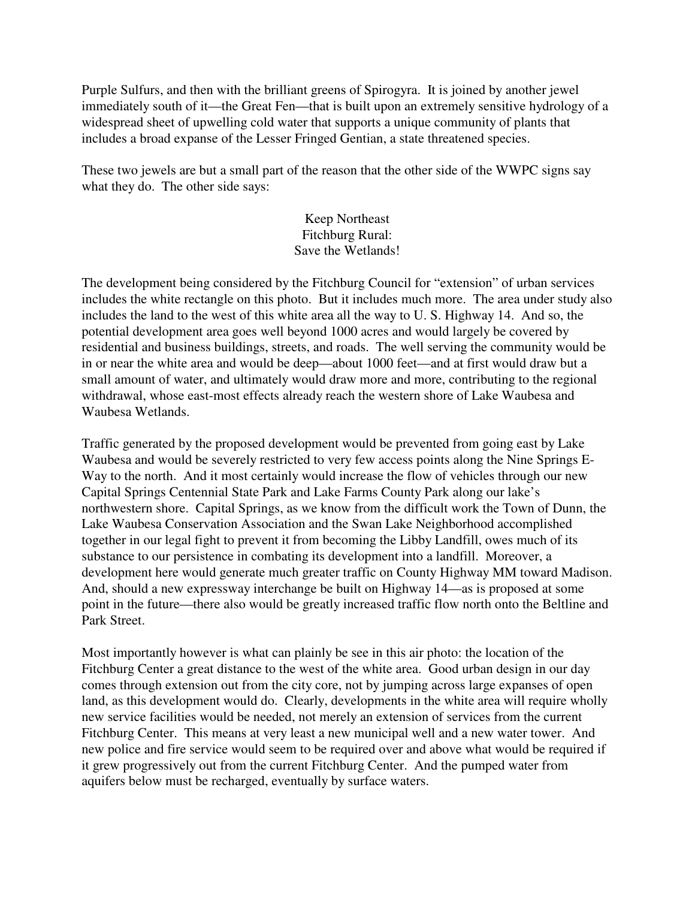Purple Sulfurs, and then with the brilliant greens of Spirogyra. It is joined by another jewel immediately south of it—the Great Fen—that is built upon an extremely sensitive hydrology of a widespread sheet of upwelling cold water that supports a unique community of plants that includes a broad expanse of the Lesser Fringed Gentian, a state threatened species.

These two jewels are but a small part of the reason that the other side of the WWPC signs say what they do. The other side says:

## Keep Northeast Fitchburg Rural: Save the Wetlands!

The development being considered by the Fitchburg Council for "extension" of urban services includes the white rectangle on this photo. But it includes much more. The area under study also includes the land to the west of this white area all the way to U. S. Highway 14. And so, the potential development area goes well beyond 1000 acres and would largely be covered by residential and business buildings, streets, and roads. The well serving the community would be in or near the white area and would be deep—about 1000 feet—and at first would draw but a small amount of water, and ultimately would draw more and more, contributing to the regional withdrawal, whose east-most effects already reach the western shore of Lake Waubesa and Waubesa Wetlands.

Traffic generated by the proposed development would be prevented from going east by Lake Waubesa and would be severely restricted to very few access points along the Nine Springs E-Way to the north. And it most certainly would increase the flow of vehicles through our new Capital Springs Centennial State Park and Lake Farms County Park along our lake's northwestern shore. Capital Springs, as we know from the difficult work the Town of Dunn, the Lake Waubesa Conservation Association and the Swan Lake Neighborhood accomplished together in our legal fight to prevent it from becoming the Libby Landfill, owes much of its substance to our persistence in combating its development into a landfill. Moreover, a development here would generate much greater traffic on County Highway MM toward Madison. And, should a new expressway interchange be built on Highway 14—as is proposed at some point in the future—there also would be greatly increased traffic flow north onto the Beltline and Park Street.

Most importantly however is what can plainly be see in this air photo: the location of the Fitchburg Center a great distance to the west of the white area. Good urban design in our day comes through extension out from the city core, not by jumping across large expanses of open land, as this development would do. Clearly, developments in the white area will require wholly new service facilities would be needed, not merely an extension of services from the current Fitchburg Center. This means at very least a new municipal well and a new water tower. And new police and fire service would seem to be required over and above what would be required if it grew progressively out from the current Fitchburg Center. And the pumped water from aquifers below must be recharged, eventually by surface waters.